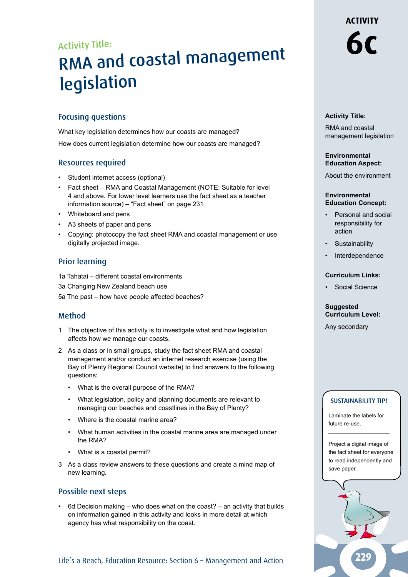Activity Title:

# **6c** RMA and coastal managemen<sup>t</sup> legislation

# Focusing questions

What key legislation determines how our coasts are managed? How does current legislation determine how our coasts are managed?

# Resources required

- Student internet access (optional)
- Fact sheet RMA and Coastal Management (NOTE: Suitable for level 4 and above. For lower level learners use the fact sheet as a teacher information source) – "Fact sheet" on page 231
- Whiteboard and pens
- A3 sheets of paper and pens
- Copying: photocopy the fact sheet RMA and coastal management or use digitally projected image.

# Prior learning

- 1a Tahatai different coastal environments
- 3a Changing New Zealand beach use
- 5a The past how have people affected beaches?

# Method

- 1 The objective of this activity is to investigate what and how legislation affects how we manage our coasts.
- 2 As a class or in small groups, study the fact sheet RMA and coastal management and/or conduct an internet research exercise (using the Bay of Plenty Regional Council website) to find answers to the following questions:
	- What is the overall purpose of the RMA?
	- What legislation, policy and planning documents are relevant to managing our beaches and coastlines in the Bay of Plenty?
	- Where is the coastal marine area?
	- What human activities in the coastal marine area are managed under the RMA?
	- What is a coastal permit?
- 3 As a class review answers to these questions and create a mind map of new learning.

# Possible next steps

• 6d Decision making – who does what on the coast? – an activity that builds on information gained in this activity and looks in more detail at which agency has what responsibility on the coast.

# Life's a Beach, Education Resource: Section 6 - Management and Action

**ACTIVITY** 

# **Activity Title:**

RMA and coastal management legislation

# **Environmental Education Aspect:**

About the environment

#### **Environmental Education Concept:**

- Personal and social responsibility for action
- **Sustainability**
- **Interdependence**

#### **Curriculum Links:**

• Social Science

#### **Suggested Curriculum Level:**

Any secondary

# SUSTAINABILITY TIP!

Laminate the labels for future re-use.

Project a digital image of the fact sheet for everyone to read independently and save paper.

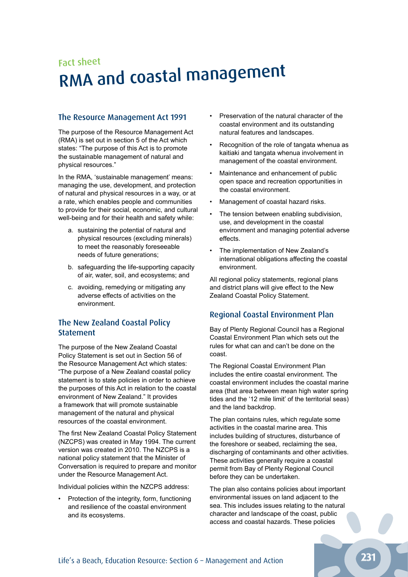# Fact sheet RMA and coastal managemen<sup>t</sup>

# The Resource Management Act 1991

The purpose of the Resource Management Act (RMA) is set out in section 5 of the Act which states: "The purpose of this Act is to promote the sustainable management of natural and physical resources."

In the RMA, 'sustainable management' means: managing the use, development, and protection of natural and physical resources in a way, or at a rate, which enables people and communities to provide for their social, economic, and cultural well-being and for their health and safety while:

- a. sustaining the potential of natural and physical resources (excluding minerals) to meet the reasonably foreseeable needs of future generations;
- b. safeguarding the life-supporting capacity of air, water, soil, and ecosystems; and
- c. avoiding, remedying or mitigating any adverse effects of activities on the environment.

# The New Zealand Coastal Policy Statement

The purpose of the New Zealand Coastal Policy Statement is set out in Section 56 of the Resource Management Act which states: "The purpose of a New Zealand coastal policy statement is to state policies in order to achieve the purposes of this Act in relation to the coastal environment of New Zealand." It provides a framework that will promote sustainable management of the natural and physical resources of the coastal environment.

The first New Zealand Coastal Policy Statement (NZCPS) was created in May 1994. The current version was created in 2010. The NZCPS is a national policy statement that the Minister of Conversation is required to prepare and monitor under the Resource Management Act.

Individual policies within the NZCPS address:

• Protection of the integrity, form, functioning and resilience of the coastal environment and its ecosystems.

- Preservation of the natural character of the coastal environment and its outstanding natural features and landscapes.
- Recognition of the role of tangata whenua as kaitiaki and tangata whenua involvement in management of the coastal environment.
- Maintenance and enhancement of public open space and recreation opportunities in the coastal environment.
- Management of coastal hazard risks.
- The tension between enabling subdivision, use, and development in the coastal environment and managing potential adverse effects.
- The implementation of New Zealand's international obligations affecting the coastal environment.

All regional policy statements, regional plans and district plans will give effect to the New Zealand Coastal Policy Statement.

# Regional Coastal Environment Plan

Bay of Plenty Regional Council has a Regional Coastal Environment Plan which sets out the rules for what can and can't be done on the coast.

The Regional Coastal Environment Plan includes the entire coastal environment. The coastal environment includes the coastal marine area (that area between mean high water spring tides and the '12 mile limit' of the territorial seas) and the land backdrop.

The plan contains rules, which regulate some activities in the coastal marine area. This includes building of structures, disturbance of the foreshore or seabed, reclaiming the sea, discharging of contaminants and other activities. These activities generally require a coastal permit from Bay of Plenty Regional Council before they can be undertaken.

The plan also contains policies about important environmental issues on land adjacent to the sea. This includes issues relating to the natural character and landscape of the coast, public access and coastal hazards. These policies